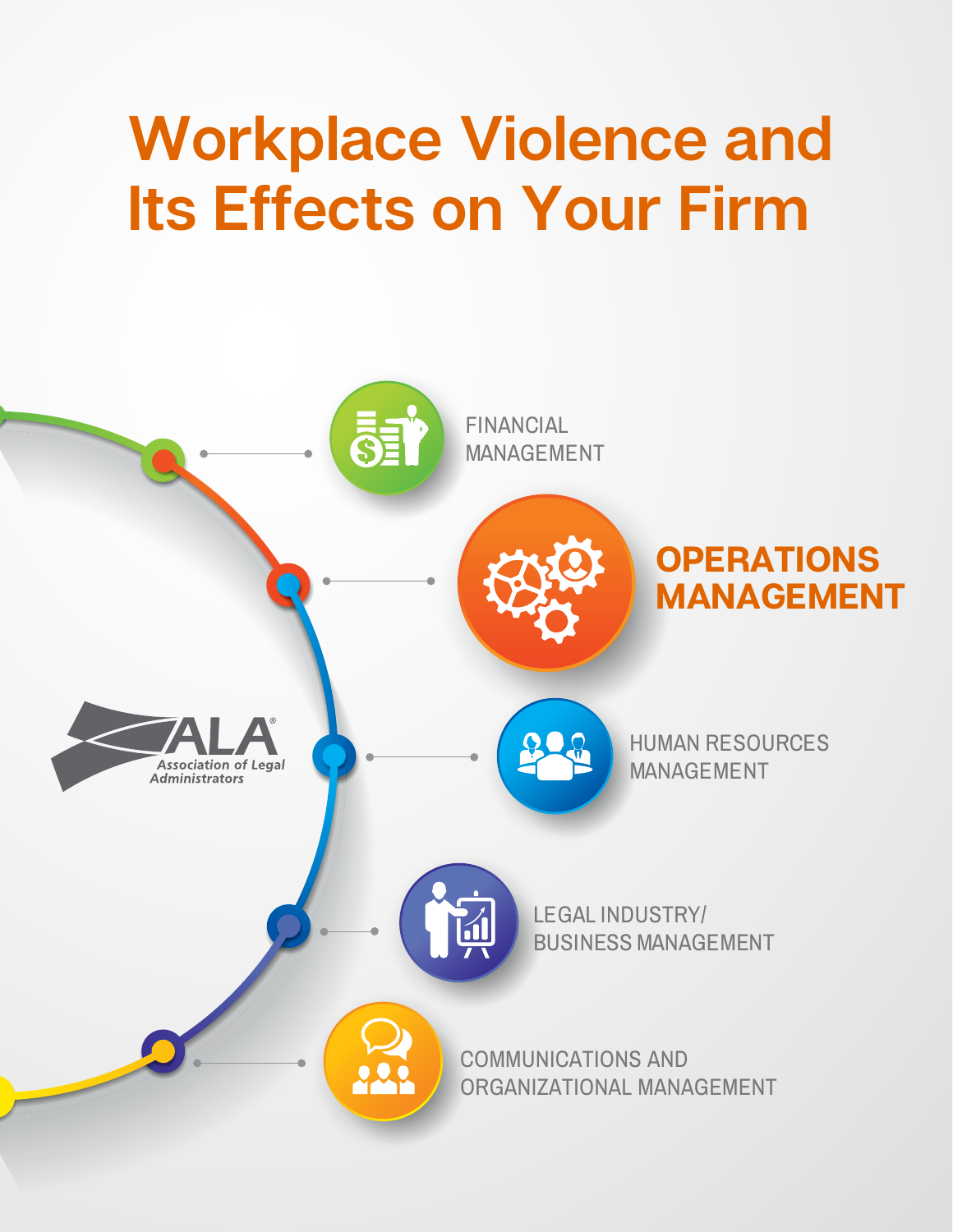# **Workplace Violence and Its Effects on Your Firm**

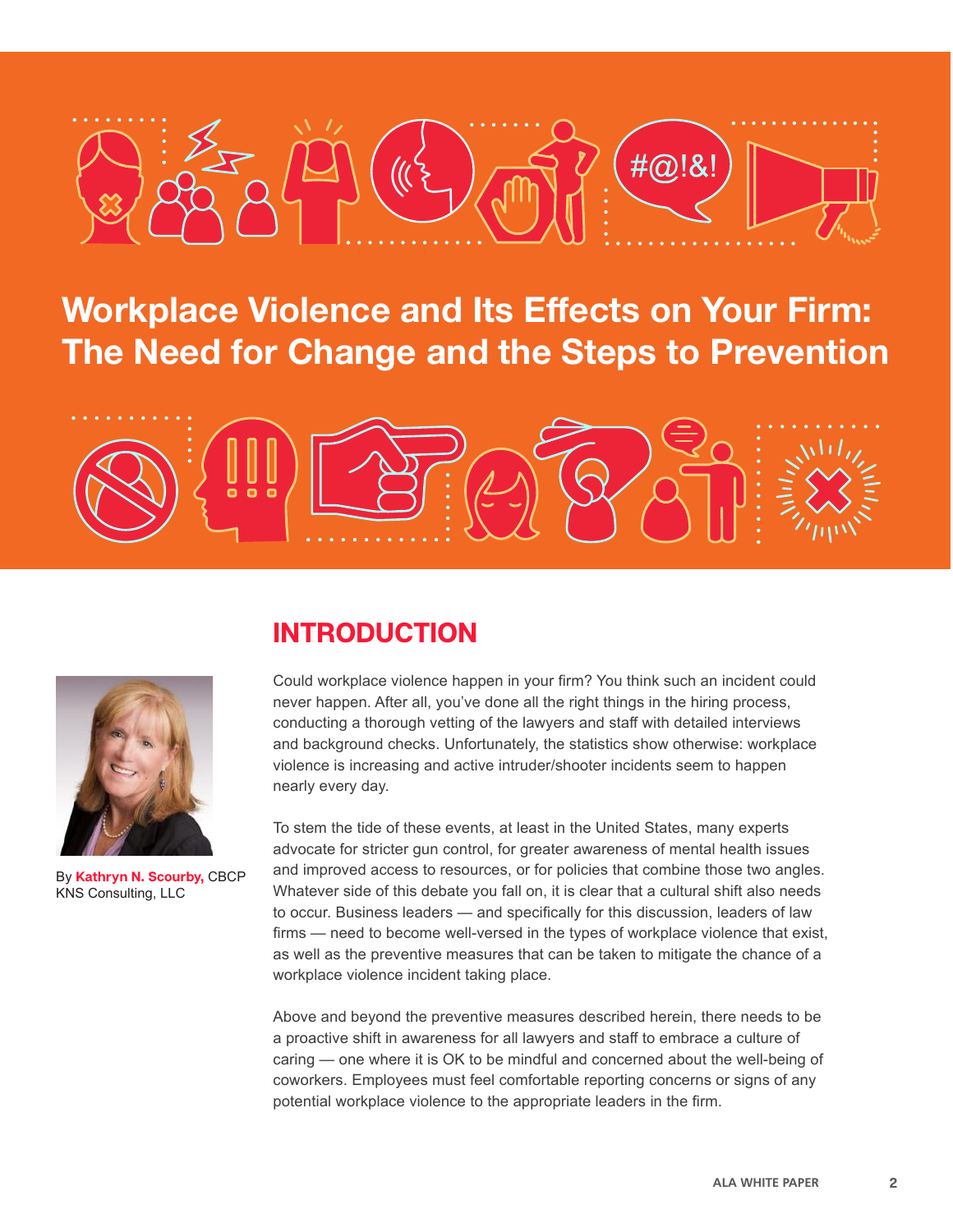

**Workplace Violence and Its Effects on Your Firm: The Need for Change and the Steps to Prevention**





By **Kathryn N. Scourby,** CBCP KNS Consulting, LLC

## **INTRODUCTION**

Could workplace violence happen in your firm? You think such an incident could never happen. After all, you've done all the right things in the hiring process, conducting a thorough vetting of the lawyers and staff with detailed interviews and background checks. Unfortunately, the statistics show otherwise: workplace violence is increasing and active intruder/shooter incidents seem to happen nearly every day.

To stem the tide of these events, at least in the United States, many experts advocate for stricter gun control, for greater awareness of mental health issues and improved access to resources, or for policies that combine those two angles. Whatever side of this debate you fall on, it is clear that a cultural shift also needs to occur. Business leaders — and specifically for this discussion, leaders of law firms — need to become well-versed in the types of workplace violence that exist, as well as the preventive measures that can be taken to mitigate the chance of a workplace violence incident taking place.

Above and beyond the preventive measures described herein, there needs to be a proactive shift in awareness for all lawyers and staff to embrace a culture of caring — one where it is OK to be mindful and concerned about the well-being of coworkers. Employees must feel comfortable reporting concerns or signs of any potential workplace violence to the appropriate leaders in the firm.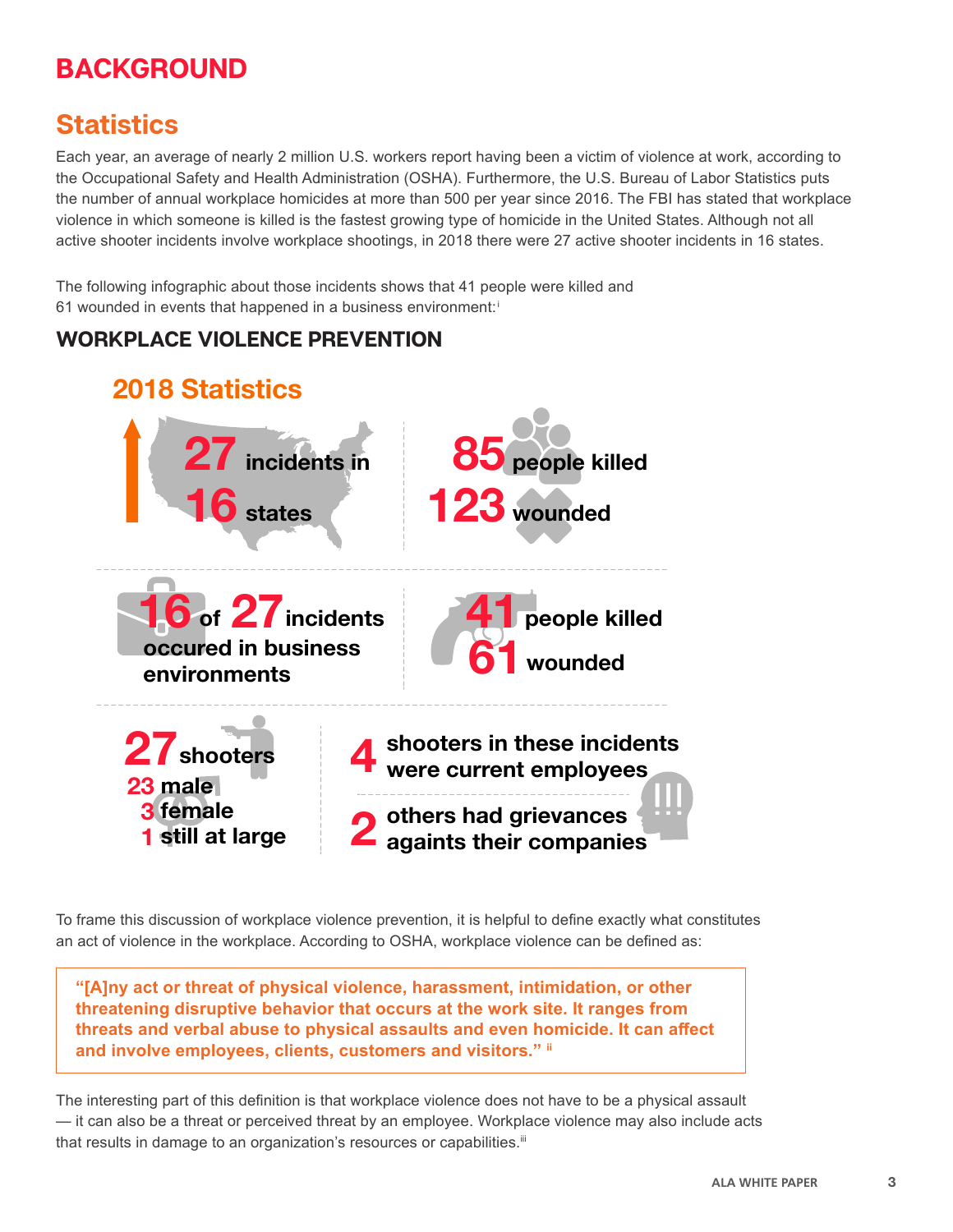# **BACKGROUND**

# **Statistics**

Each year, an average of nearly 2 million U.S. workers report having been a victim of violence at work, according to the Occupational Safety and Health Administration (OSHA). Furthermore, the U.S. Bureau of Labor Statistics puts the number of annual workplace homicides at more than 500 per year since 2016. The FBI has stated that workplace violence in which someone is killed is the fastest growing type of homicide in the United States. Although not all active shooter incidents involve workplace shootings, in 2018 there were 27 active shooter incidents in 16 states.

The following infographic about those incidents shows that 41 people were killed and 61 wounded in events that happened in a business environment:<sup>i</sup>

### **WORKPLACE VIOLENCE PREVENTION**



To frame this discussion of workplace violence prevention, it is helpful to define exactly what constitutes an act of violence in the workplace. According to OSHA, workplace violence can be defined as:

**"[A]ny act or threat of physical violence, harassment, intimidation, or other threatening disruptive behavior that occurs at the work site. It ranges from threats and verbal abuse to physical assaults and even homicide. It can affect and involve employees, clients, customers and visitors." ii**

The interesting part of this definition is that workplace violence does not have to be a physical assault — it can also be a threat or perceived threat by an employee. Workplace violence may also include acts that results in damage to an organization's resources or capabilities.<sup>iii</sup>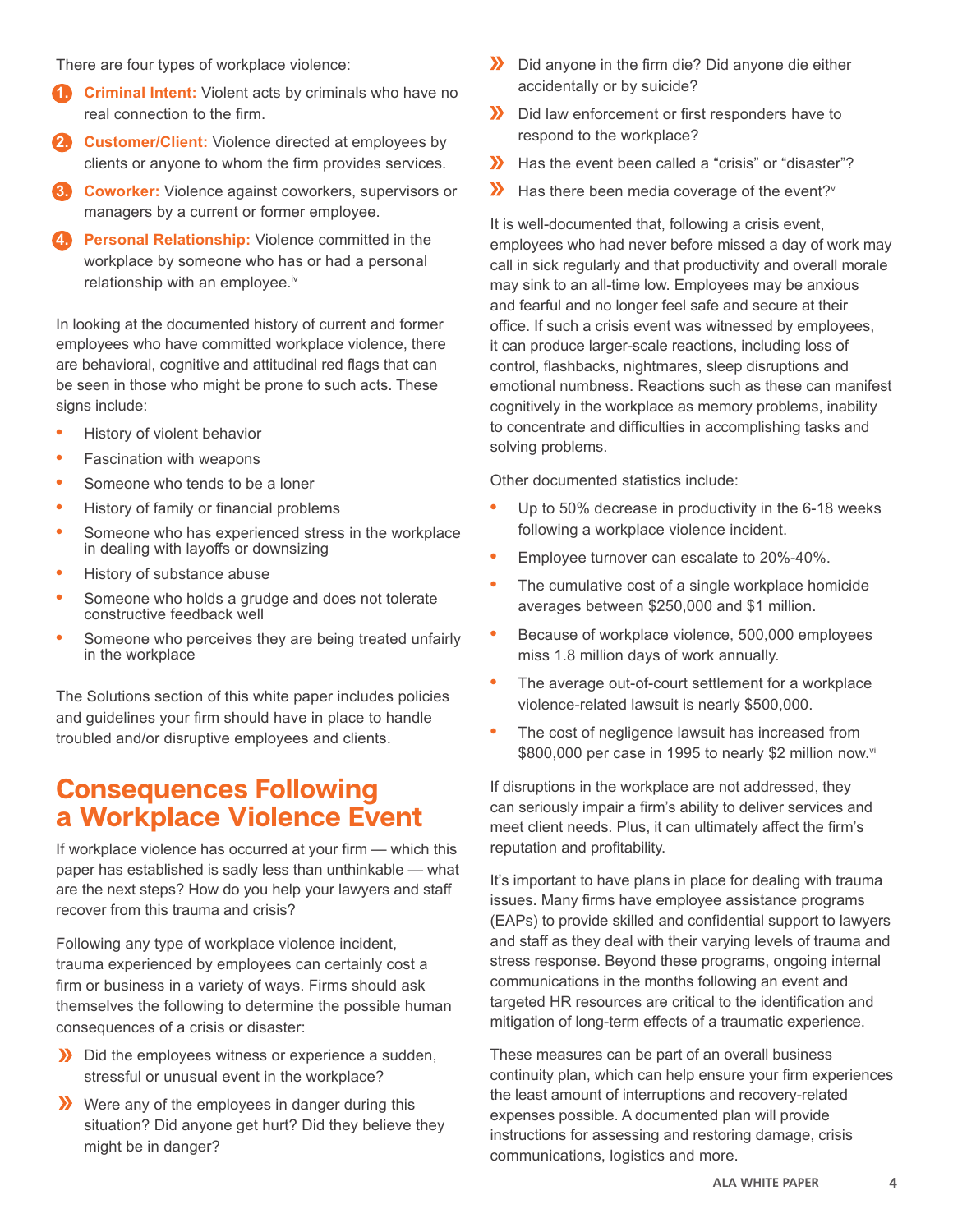There are four types of workplace violence:

- **Criminal Intent:** Violent acts by criminals who have no real connection to the firm.
- **2. Customer/Client:** Violence directed at employees by clients or anyone to whom the firm provides services.
- **3. Coworker:** Violence against coworkers, supervisors or managers by a current or former employee.
- **Personal Relationship:** Violence committed in the workplace by someone who has or had a personal relationship with an employee.<sup>iv</sup>

In looking at the documented history of current and former employees who have committed workplace violence, there are behavioral, cognitive and attitudinal red flags that can be seen in those who might be prone to such acts. These signs include:

- **•** History of violent behavior
- **•** Fascination with weapons
- **•** Someone who tends to be a loner
- **•** History of family or financial problems
- **•** Someone who has experienced stress in the workplace in dealing with layoffs or downsizing
- **•** History of substance abuse
- **•** Someone who holds a grudge and does not tolerate constructive feedback well
- **•** Someone who perceives they are being treated unfairly in the workplace

The Solutions section of this white paper includes policies and guidelines your firm should have in place to handle troubled and/or disruptive employees and clients.

## **Consequences Following a Workplace Violence Event**

If workplace violence has occurred at your firm — which this paper has established is sadly less than unthinkable — what are the next steps? How do you help your lawyers and staff recover from this trauma and crisis?

Following any type of workplace violence incident, trauma experienced by employees can certainly cost a firm or business in a variety of ways. Firms should ask themselves the following to determine the possible human consequences of a crisis or disaster:

- Did the employees witness or experience a sudden, stressful or unusual event in the workplace?
- Were any of the employees in danger during this situation? Did anyone get hurt? Did they believe they might be in danger?
- **X** Did anyone in the firm die? Did anyone die either accidentally or by suicide?
- Did law enforcement or first responders have to respond to the workplace?
- Has the event been called a "crisis" or "disaster"?
- $\mathbf{v}$ Has there been media coverage of the event? Y

It is well-documented that, following a crisis event, employees who had never before missed a day of work may call in sick regularly and that productivity and overall morale may sink to an all-time low. Employees may be anxious and fearful and no longer feel safe and secure at their office. If such a crisis event was witnessed by employees, it can produce larger-scale reactions, including loss of control, flashbacks, nightmares, sleep disruptions and emotional numbness. Reactions such as these can manifest cognitively in the workplace as memory problems, inability to concentrate and difficulties in accomplishing tasks and solving problems.

Other documented statistics include:

- **•** Up to 50% decrease in productivity in the 6-18 weeks following a workplace violence incident.
- **•** Employee turnover can escalate to 20%-40%.
- **•** The cumulative cost of a single workplace homicide averages between \$250,000 and \$1 million.
- **•** Because of workplace violence, 500,000 employees miss 1.8 million days of work annually.
- **•** The average out-of-court settlement for a workplace violence-related lawsuit is nearly \$500,000.
- **•** The cost of negligence lawsuit has increased from \$800,000 per case in 1995 to nearly \$2 million now.vi

If disruptions in the workplace are not addressed, they can seriously impair a firm's ability to deliver services and meet client needs. Plus, it can ultimately affect the firm's reputation and profitability.

It's important to have plans in place for dealing with trauma issues. Many firms have employee assistance programs (EAPs) to provide skilled and confidential support to lawyers and staff as they deal with their varying levels of trauma and stress response. Beyond these programs, ongoing internal communications in the months following an event and targeted HR resources are critical to the identification and mitigation of long-term effects of a traumatic experience.

These measures can be part of an overall business continuity plan, which can help ensure your firm experiences the least amount of interruptions and recovery-related expenses possible. A documented plan will provide instructions for assessing and restoring damage, crisis communications, logistics and more.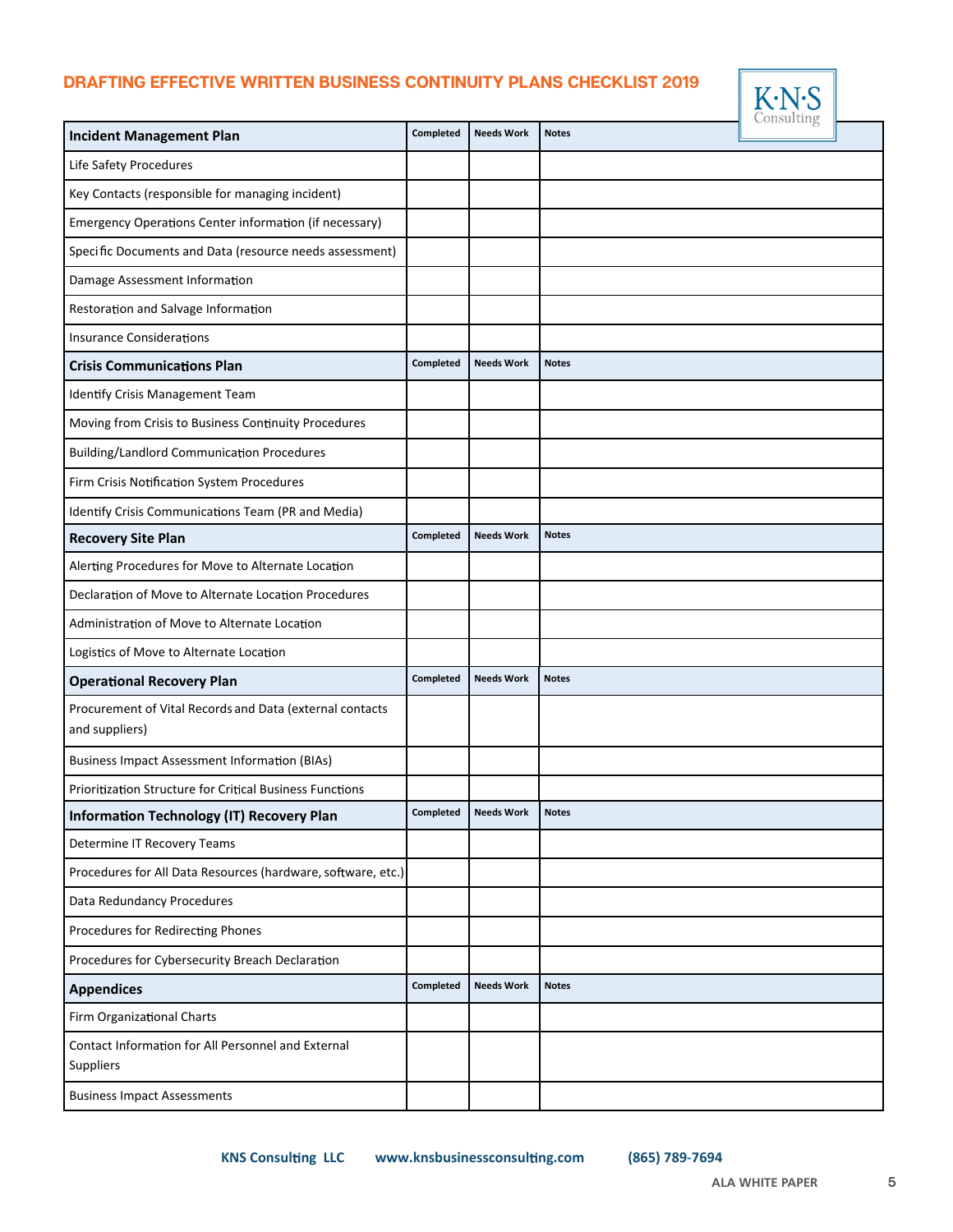#### **DRAFTING EFFECTIVE WRITTEN BUSINESS CONTINUITY PLANS CHECKLIST 2019 DRAFTING EFFECTIVE WRITTEN BUSINESS CONTINUITY PLANS CHECKLIST 2019**



| <b>Incident Management Plan</b>                                            | Completed | <b>Needs Work</b> | <b>Notes</b> | $\sim$ |
|----------------------------------------------------------------------------|-----------|-------------------|--------------|--------|
| Life Safety Procedures                                                     |           |                   |              |        |
| Key Contacts (responsible for managing incident)                           |           |                   |              |        |
| Emergency Operations Center information (if necessary)                     |           |                   |              |        |
| Specific Documents and Data (resource needs assessment)                    |           |                   |              |        |
| Damage Assessment Information                                              |           |                   |              |        |
| Restoration and Salvage Information                                        |           |                   |              |        |
| <b>Insurance Considerations</b>                                            |           |                   |              |        |
| <b>Crisis Communications Plan</b>                                          | Completed | <b>Needs Work</b> | <b>Notes</b> |        |
| Identify Crisis Management Team                                            |           |                   |              |        |
| Moving from Crisis to Business Continuity Procedures                       |           |                   |              |        |
| <b>Building/Landlord Communication Procedures</b>                          |           |                   |              |        |
| Firm Crisis Notification System Procedures                                 |           |                   |              |        |
| Identify Crisis Communications Team (PR and Media)                         |           |                   |              |        |
| <b>Recovery Site Plan</b>                                                  | Completed | <b>Needs Work</b> | <b>Notes</b> |        |
| Alerting Procedures for Move to Alternate Location                         |           |                   |              |        |
| Declaration of Move to Alternate Location Procedures                       |           |                   |              |        |
| Administration of Move to Alternate Location                               |           |                   |              |        |
| Logistics of Move to Alternate Location                                    |           |                   |              |        |
| <b>Operational Recovery Plan</b>                                           | Completed | <b>Needs Work</b> | <b>Notes</b> |        |
| Procurement of Vital Records and Data (external contacts<br>and suppliers) |           |                   |              |        |
| <b>Business Impact Assessment Information (BIAs)</b>                       |           |                   |              |        |
| Prioritization Structure for Critical Business Functions                   |           |                   |              |        |
| <b>Information Technology (IT) Recovery Plan</b>                           | Completed | <b>Needs Work</b> | <b>Notes</b> |        |
| Determine IT Recovery Teams                                                |           |                   |              |        |
| Procedures for All Data Resources (hardware, software, etc.)               |           |                   |              |        |
| Data Redundancy Procedures                                                 |           |                   |              |        |
| Procedures for Redirecting Phones                                          |           |                   |              |        |
| Procedures for Cybersecurity Breach Declaration                            |           |                   |              |        |
| <b>Appendices</b>                                                          | Completed | <b>Needs Work</b> | <b>Notes</b> |        |
| Firm Organizational Charts                                                 |           |                   |              |        |
| Contact Information for All Personnel and External<br>Suppliers            |           |                   |              |        |
| <b>Business Impact Assessments</b>                                         |           |                   |              |        |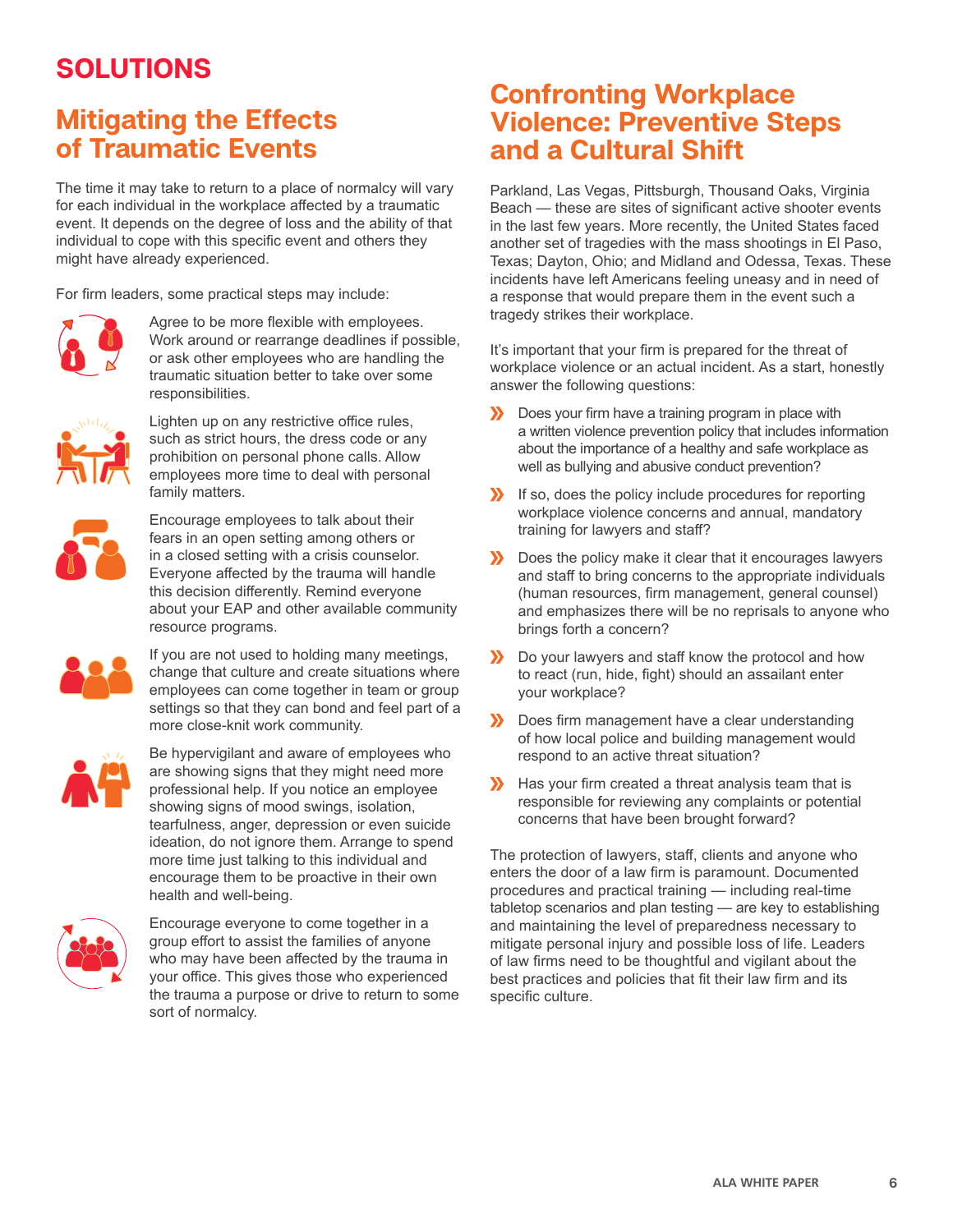# **SOLUTIONS**

## **Mitigating the Effects of Traumatic Events**

The time it may take to return to a place of normalcy will vary for each individual in the workplace affected by a traumatic event. It depends on the degree of loss and the ability of that individual to cope with this specific event and others they might have already experienced.

For firm leaders, some practical steps may include:



Agree to be more flexible with employees. Work around or rearrange deadlines if possible, or ask other employees who are handling the traumatic situation better to take over some responsibilities.



Lighten up on any restrictive office rules, such as strict hours, the dress code or any prohibition on personal phone calls. Allow employees more time to deal with personal family matters.



Encourage employees to talk about their fears in an open setting among others or in a closed setting with a crisis counselor. Everyone affected by the trauma will handle this decision differently. Remind everyone about your EAP and other available community resource programs.



If you are not used to holding many meetings, change that culture and create situations where employees can come together in team or group settings so that they can bond and feel part of a more close-knit work community.



Be hypervigilant and aware of employees who are showing signs that they might need more professional help. If you notice an employee showing signs of mood swings, isolation, tearfulness, anger, depression or even suicide ideation, do not ignore them. Arrange to spend more time just talking to this individual and encourage them to be proactive in their own health and well-being.



Encourage everyone to come together in a group effort to assist the families of anyone who may have been affected by the trauma in your office. This gives those who experienced the trauma a purpose or drive to return to some sort of normalcy.

## **Confronting Workplace Violence: Preventive Steps and a Cultural Shift**

Parkland, Las Vegas, Pittsburgh, Thousand Oaks, Virginia Beach — these are sites of significant active shooter events in the last few years. More recently, the United States faced another set of tragedies with the mass shootings in El Paso, Texas; Dayton, Ohio; and Midland and Odessa, Texas. These incidents have left Americans feeling uneasy and in need of a response that would prepare them in the event such a tragedy strikes their workplace.

It's important that your firm is prepared for the threat of workplace violence or an actual incident. As a start, honestly answer the following questions:

- Does your firm have a training program in place with a written violence prevention policy that includes information about the importance of a healthy and safe workplace as well as bullying and abusive conduct prevention?
- If so, does the policy include procedures for reporting workplace violence concerns and annual, mandatory training for lawyers and staff?
- **X** Does the policy make it clear that it encourages lawyers and staff to bring concerns to the appropriate individuals (human resources, firm management, general counsel) and emphasizes there will be no reprisals to anyone who brings forth a concern?
- Do your lawyers and staff know the protocol and how to react (run, hide, fight) should an assailant enter your workplace?
- Does firm management have a clear understanding of how local police and building management would respond to an active threat situation?
- Has your firm created a threat analysis team that is responsible for reviewing any complaints or potential concerns that have been brought forward?

The protection of lawyers, staff, clients and anyone who enters the door of a law firm is paramount. Documented procedures and practical training — including real-time tabletop scenarios and plan testing — are key to establishing and maintaining the level of preparedness necessary to mitigate personal injury and possible loss of life. Leaders of law firms need to be thoughtful and vigilant about the best practices and policies that fit their law firm and its specific culture.